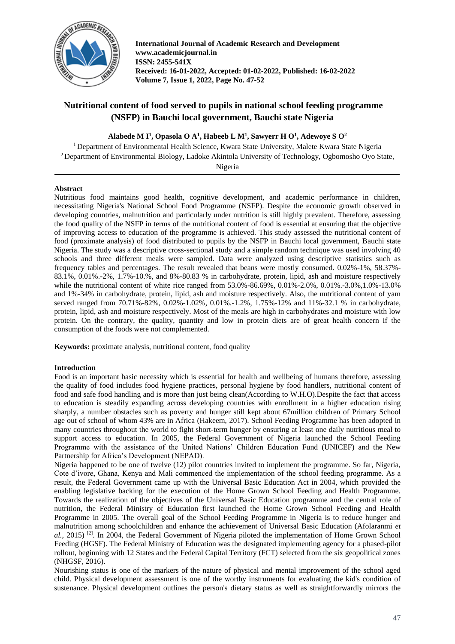

**International Journal of Academic Research and Development www.academicjournal.in ISSN: 2455-541X Received: 16-01-2022, Accepted: 01-02-2022, Published: 16-02-2022 Volume 7, Issue 1, 2022, Page No. 47-52**

# **Nutritional content of food served to pupils in national school feeding programme (NSFP) in Bauchi local government, Bauchi state Nigeria**

**Alabede M I<sup>1</sup> , Opasola O A<sup>1</sup> , Habeeb L M<sup>1</sup> , Sawyerr H O<sup>1</sup> , Adewoye S O<sup>2</sup>**

<sup>1</sup> Department of Environmental Health Science, Kwara State University, Malete Kwara State Nigeria <sup>2</sup> Department of Environmental Biology, Ladoke Akintola University of Technology, Ogbomosho Oyo State,

Nigeria

## **Abstract**

Nutritious food maintains good health, cognitive development, and academic performance in children, necessitating Nigeria's National School Food Programme (NSFP). Despite the economic growth observed in developing countries, malnutrition and particularly under nutrition is still highly prevalent. Therefore, assessing the food quality of the NSFP in terms of the nutritional content of food is essential at ensuring that the objective of improving access to education of the programme is achieved. This study assessed the nutritional content of food (proximate analysis) of food distributed to pupils by the NSFP in Bauchi local government, Bauchi state Nigeria. The study was a descriptive cross-sectional study and a simple random technique was used involving 40 schools and three different meals were sampled. Data were analyzed using descriptive statistics such as frequency tables and percentages. The result revealed that beans were mostly consumed. 0.02%-1%, 58.37%- 83.1%, 0.01%.-2%, 1.7%-10.%, and 8%-80.83 % in carbohydrate, protein, lipid, ash and moisture respectively while the nutritional content of white rice ranged from 53.0%-86.69%, 0.01%-2.0%, 0.01%.-3.0%,1.0%-13.0% and 1%-34% in carbohydrate, protein, lipid, ash and moisture respectively. Also, the nutritional content of yam served ranged from 70.71%-82%, 0.02%-1.02%, 0.01%.-1.2%, 1.75%-12% and 11%-32.1 % in carbohydrate, protein, lipid, ash and moisture respectively. Most of the meals are high in carbohydrates and moisture with low protein. On the contrary, the quality, quantity and low in protein diets are of great health concern if the consumption of the foods were not complemented.

**Keywords:** proximate analysis, nutritional content, food quality

# **Introduction**

Food is an important basic necessity which is essential for health and wellbeing of humans therefore, assessing the quality of food includes food hygiene practices, personal hygiene by food handlers, nutritional content of food and safe food handling and is more than just being clean(According to W.H.O).Despite the fact that access to education is steadily expanding across developing countries with enrollment in a higher education rising sharply, a number obstacles such as poverty and hunger still kept about 67million children of Primary School age out of school of whom 43% are in Africa (Hakeem, 2017). School Feeding Programme has been adopted in many countries throughout the world to fight short-term hunger by ensuring at least one daily nutritious meal to support access to education. In 2005, the Federal Government of Nigeria launched the School Feeding Programme with the assistance of the United Nations' Children Education Fund (UNICEF) and the New Partnership for Africa's Development (NEPAD).

Nigeria happened to be one of twelve (12) pilot countries invited to implement the programme. So far, Nigeria, Cote d'ivore, Ghana, Kenya and Mali commenced the implementation of the school feeding programme. As a result, the Federal Government came up with the Universal Basic Education Act in 2004, which provided the enabling legislative backing for the execution of the Home Grown School Feeding and Health Programme. Towards the realization of the objectives of the Universal Basic Education programme and the central role of nutrition, the Federal Ministry of Education first launched the Home Grown School Feeding and Health Programme in 2005. The overall goal of the School Feeding Programme in Nigeria is to reduce hunger and malnutrition among schoolchildren and enhance the achievement of Universal Basic Education (Afolaranmi *et al.,* 2015) [2]. In 2004, the Federal Government of Nigeria piloted the implementation of Home Grown School Feeding (HGSF). The Federal Ministry of Education was the designated implementing agency for a phased-pilot rollout, beginning with 12 States and the Federal Capital Territory (FCT) selected from the six geopolitical zones (NHGSF, 2016).

Nourishing status is one of the markers of the nature of physical and mental improvement of the school aged child. Physical development assessment is one of the worthy instruments for evaluating the kid's condition of sustenance. Physical development outlines the person's dietary status as well as straightforwardly mirrors the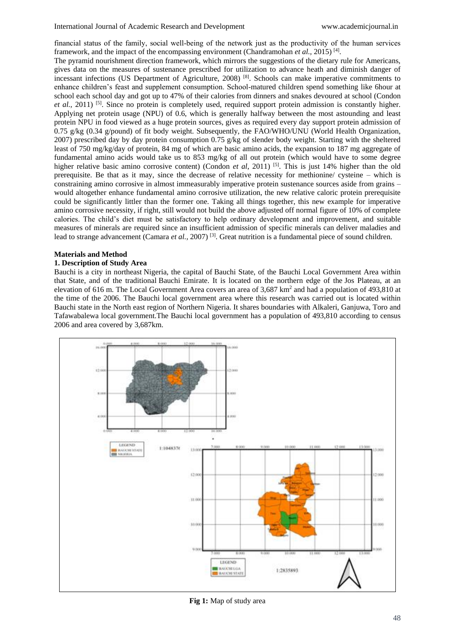financial status of the family, social well‑being of the network just as the productivity of the human services framework, and the impact of the encompassing environment (Chandramohan *et al.*, 2015)<sup>[4]</sup>.

The pyramid nourishment direction framework, which mirrors the suggestions of the dietary rule for Americans, gives data on the measures of sustenance prescribed for utilization to advance heath and diminish danger of incessant infections (US Department of Agriculture, 2008) [8]. Schools can make imperative commitments to enhance children's feast and supplement consumption. School-matured children spend something like 6hour at school each school day and got up to 47% of their calories from dinners and snakes devoured at school (Condon *et al.*, 2011) <sup>[5]</sup>. Since no protein is completely used, required support protein admission is constantly higher. Applying net protein usage (NPU) of 0.6, which is generally halfway between the most astounding and least protein NPU in food viewed as a huge protein sources, gives as required every day support protein admission of 0.75 g/kg (0.34 g/pound) of fit body weight. Subsequently, the FAO/WHO/UNU (World Health Organization, 2007) prescribed day by day protein consumption 0.75 g/kg of slender body weight. Starting with the sheltered least of 750 mg/kg/day of protein, 84 mg of which are basic amino acids, the expansion to 187 mg aggregate of fundamental amino acids would take us to 853 mg/kg of all out protein (which would have to some degree higher relative basic amino corrosive content) (Condon *et al*, 2011) <sup>[5]</sup>. This is just 14% higher than the old prerequisite. Be that as it may, since the decrease of relative necessity for methionine/ cysteine – which is constraining amino corrosive in almost immeasurably imperative protein sustenance sources aside from grains – would altogether enhance fundamental amino corrosive utilization, the new relative caloric protein prerequisite could be significantly littler than the former one. Taking all things together, this new example for imperative amino corrosive necessity, if right, still would not build the above adjusted off normal figure of 10% of complete calories. The child's diet must be satisfactory to help ordinary development and improvement, and suitable measures of minerals are required since an insufficient admission of specific minerals can deliver maladies and lead to strange advancement (Camara *et al.,* 2007) [3]. Great nutrition is a fundamental piece of sound children.

### **Materials and Method**

## **1. Description of Study Area**

Bauchi is a city in northeast Nigeria, the capital of Bauchi State, of the Bauchi Local Government Area within that State, and of the traditional Bauchi Emirate. It is located on the northern edge of the Jos Plateau, at an elevation of 616 m. The Local Government Area covers an area of  $3,687 \text{ km}^2$  and had a population of 493,810 at the time of the 2006. The Bauchi local government area where this research was carried out is located within Bauchi state in the North east region of Northern Nigeria. It shares boundaries with Alkaleri, Ganjuwa, Toro and Tafawabalewa local government.The Bauchi local government has a population of 493,810 according to census 2006 and area covered by 3,687km.



**Fig 1:** Map of study area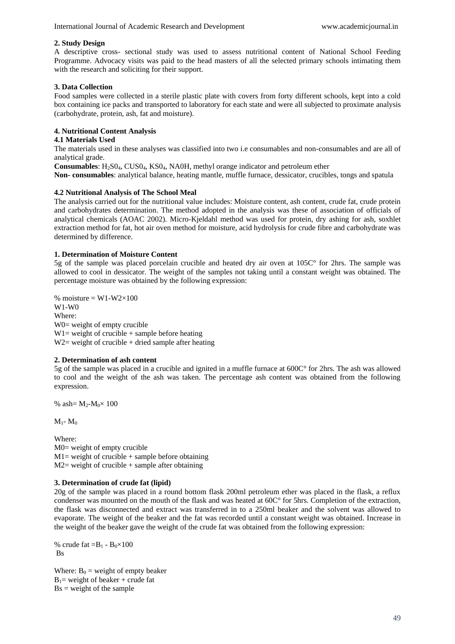## **2. Study Design**

A descriptive cross- sectional study was used to assess nutritional content of National School Feeding Programme. Advocacy visits was paid to the head masters of all the selected primary schools intimating them with the research and soliciting for their support.

## **3. Data Collection**

Food samples were collected in a sterile plastic plate with covers from forty different schools, kept into a cold box containing ice packs and transported to laboratory for each state and were all subjected to proximate analysis (carbohydrate, protein, ash, fat and moisture).

## **4. Nutritional Content Analysis**

## **4.1 Materials Used**

The materials used in these analyses was classified into two i.e consumables and non-consumables and are all of analytical grade.

**Consumables**: H2S04, CUS04, KS04, NA0H, methyl orange indicator and petroleum ether **Non- consumables**: analytical balance, heating mantle, muffle furnace, dessicator, crucibles, tongs and spatula

### **4.2 Nutritional Analysis of The School Meal**

The analysis carried out for the nutritional value includes: Moisture content, ash content, crude fat, crude protein and carbohydrates determination. The method adopted in the analysis was these of association of officials of analytical chemicals (AOAC 2002). Micro-Kjeldahl method was used for protein, dry ashing for ash, soxhlet extraction method for fat, hot air oven method for moisture, acid hydrolysis for crude fibre and carbohydrate was determined by difference.

## **1. Determination of Moisture Content**

5g of the sample was placed porcelain crucible and heated dry air oven at 105C° for 2hrs. The sample was allowed to cool in dessicator. The weight of the samples not taking until a constant weight was obtained. The percentage moisture was obtained by the following expression:

% moisture =  $W1-W2\times100$ W1-W0 Where: W0= weight of empty crucible  $W1$  = weight of crucible + sample before heating  $W2$  = weight of crucible + dried sample after heating

## **2. Determination of ash content**

5g of the sample was placed in a crucible and ignited in a muffle furnace at 600C° for 2hrs. The ash was allowed to cool and the weight of the ash was taken. The percentage ash content was obtained from the following expression.

% ash= $M_2-M_0 \times 100$ 

 $M_1$ -  $M_0$ 

Where: M0= weight of empty crucible  $M1$  = weight of crucible + sample before obtaining  $M2$  = weight of crucible + sample after obtaining

#### **3. Determination of crude fat (lipid)**

20g of the sample was placed in a round bottom flask 200ml petroleum ether was placed in the flask, a reflux condenser was mounted on the mouth of the flask and was heated at 60C° for 5hrs. Completion of the extraction, the flask was disconnected and extract was transferred in to a 250ml beaker and the solvent was allowed to evaporate. The weight of the beaker and the fat was recorded until a constant weight was obtained. Increase in the weight of the beaker gave the weight of the crude fat was obtained from the following expression:

% crude fat  $=B_1 - B_0 \times 100$ **Bs** 

Where:  $B_0$  = weight of empty beaker  $B_1$ = weight of beaker + crude fat  $Bs = weight of the sample$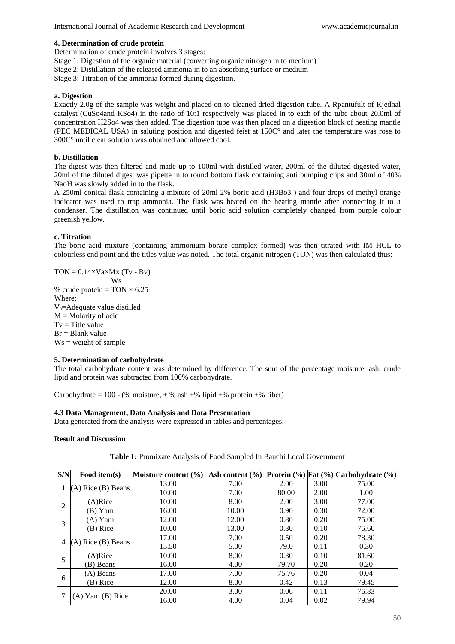#### **4. Determination of crude protein**

Determination of crude protein involves 3 stages:

- Stage 1: Digestion of the organic material (converting organic nitrogen in to medium)
- Stage 2: Distillation of the released ammonia in to an absorbing surface or medium
- Stage 3: Titration of the ammonia formed during digestion.

## **a. Digestion**

Exactly 2.0g of the sample was weight and placed on to cleaned dried digestion tube. A Rpantufult of Kjedhal catalyst (CuSo4and KSo4) in the ratio of 10:1 respectively was placed in to each of the tube about 20.0ml of concentration H2So4 was then added. The digestion tube was then placed on a digestion block of heating mantle (PEC MEDICAL USA) in saluting position and digested feist at 150C° and later the temperature was rose to 300C° until clear solution was obtained and allowed cool.

## **b. Distillation**

The digest was then filtered and made up to 100ml with distilled water, 200ml of the diluted digested water, 20ml of the diluted digest was pipette in to round bottom flask containing anti bumping clips and 30ml of 40% NaoH was slowly added in to the flask.

A 250ml conical flask containing a mixture of 20ml 2% boric acid (H3Bo3 ) and four drops of methyl orange indicator was used to trap ammonia. The flask was heated on the heating mantle after connecting it to a condenser. The distillation was continued until boric acid solution completely changed from purple colour greenish yellow.

### **c. Titration**

The boric acid mixture (containing ammonium borate complex formed) was then titrated with IM HCL to colourless end point and the titles value was noted. The total organic nitrogen (TON) was then calculated thus:

 $TON = 0.14 \times Va \times Mx$  (Tv - Bv) Ws % crude protein =  $TON \times 6.25$ Where: Va=Adequate value distilled  $M =$ Molarity of acid  $Tv =$  Title value  $Br = Blank value$  $Ws = weight of sample$ 

#### **5. Determination of carbohydrate**

The total carbohydrate content was determined by difference. The sum of the percentage moisture, ash, crude lipid and protein was subtracted from 100% carbohydrate.

Carbohydrate = 100 - (% moisture,  $+$  % ash  $+$ % lipid  $+$ % protein  $+$ % fiber)

#### **4.3 Data Management, Data Analysis and Data Presentation**

Data generated from the analysis were expressed in tables and percentages.

#### **Result and Discussion**

| S/N            | Food item(s)           | Moisture content $(\% )$ | Ash content $(\% )$ |       |      | Protein (%) Fat (%) Carbohydrate (%) |
|----------------|------------------------|--------------------------|---------------------|-------|------|--------------------------------------|
|                | $(A)$ Rice $(B)$ Beans | 13.00                    | 7.00                | 2.00  | 3.00 | 75.00                                |
|                |                        | 10.00                    | 7.00                | 80.00 | 2.00 | 1.00                                 |
| $\overline{2}$ | $(A)$ Rice             | 10.00                    | 8.00                | 2.00  | 3.00 | 77.00                                |
|                | (B) Yam                | 16.00                    | 10.00               | 0.90  | 0.30 | 72.00                                |
| 3              | $(A)$ Yam              | 12.00                    | 12.00               | 0.80  | 0.20 | 75.00                                |
|                | (B) Rice               | 10.00                    | 13.00               | 0.30  | 0.10 | 76.60                                |
| 4              | $(A)$ Rice $(B)$ Beans | 17.00                    | 7.00                | 0.50  | 0.20 | 78.30                                |
|                |                        | 15.50                    | 5.00                | 79.0  | 0.11 | 0.30                                 |
| 5              | $(A)$ Rice             | 10.00                    | 8.00                | 0.30  | 0.10 | 81.60                                |
|                | (B) Beans              | 16.00                    | 4.00                | 79.70 | 0.20 | 0.20                                 |
| 6              | $(A)$ Beans            | 17.00                    | 7.00                | 75.76 | 0.20 | 0.04                                 |
|                | (B) Rice               | 12.00                    | 8.00                | 0.42  | 0.13 | 79.45                                |
|                | $(A)$ Yam $(B)$ Rice   | 20.00                    | 3.00                | 0.06  | 0.11 | 76.83                                |
|                |                        | 16.00                    | 4.00                | 0.04  | 0.02 | 79.94                                |

## **Table 1:** Promixate Analysis of Food Sampled In Bauchi Local Government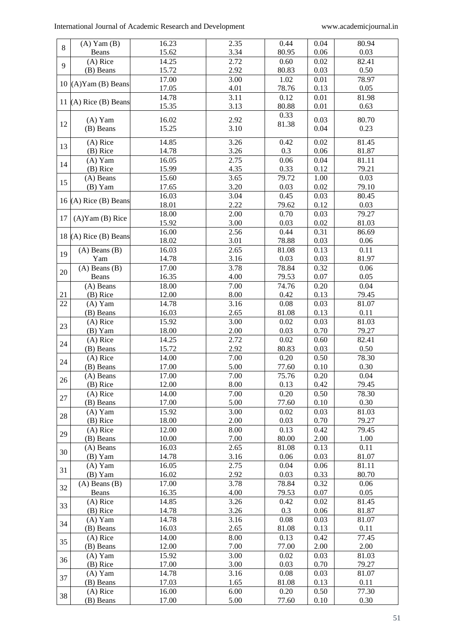| 8  | $(A)$ Yam $(B)$       | 16.23 | 2.35 | 0.44  | 0.04 | 80.94    |
|----|-----------------------|-------|------|-------|------|----------|
|    | Beans                 | 15.62 | 3.34 | 80.95 | 0.06 | 0.03     |
| 9  | $(A)$ Rice            | 14.25 | 2.72 | 0.60  | 0.02 | 82.41    |
|    | (B) Beans             | 15.72 | 2.92 | 80.83 | 0.03 | 0.50     |
|    |                       | 17.00 | 3.00 | 1.02  | 0.01 | 78.97    |
|    | $10$ (A)Yam (B) Beans | 17.05 | 4.01 | 78.76 | 0.13 | 0.05     |
|    |                       | 14.78 | 3.11 | 0.12  | 0.01 | 81.98    |
|    | 11 (A) Rice (B) Beans | 15.35 | 3.13 | 80.88 | 0.01 | 0.63     |
|    |                       |       |      | 0.33  |      |          |
| 12 | $(A)$ Yam             | 16.02 | 2.92 | 81.38 | 0.03 | 80.70    |
|    | (B) Beans             | 15.25 | 3.10 |       | 0.04 | 0.23     |
|    | $(A)$ Rice            | 14.85 | 3.26 | 0.42  | 0.02 | 81.45    |
| 13 | (B) Rice              | 14.78 | 3.26 | 0.3   | 0.06 | 81.87    |
|    | $(A)$ Yam             | 16.05 | 2.75 | 0.06  | 0.04 | 81.11    |
| 14 | $(B)$ Rice            | 15.99 | 4.35 | 0.33  | 0.12 | 79.21    |
|    | (A) Beans             | 15.60 | 3.65 | 79.72 | 1.00 | 0.03     |
| 15 | $(B)$ Yam             | 17.65 | 3.20 | 0.03  | 0.02 | 79.10    |
|    |                       | 16.03 | 3.04 | 0.45  | 0.03 | 80.45    |
|    | 16 (A) Rice (B) Beans | 18.01 | 2.22 | 79.62 | 0.12 | 0.03     |
|    |                       | 18.00 | 2.00 | 0.70  | 0.03 | 79.27    |
| 17 | $(A)$ Yam $(B)$ Rice  | 15.92 | 3.00 | 0.03  | 0.02 | 81.03    |
|    |                       | 16.00 | 2.56 | 0.44  | 0.31 | 86.69    |
|    | 18 (A) Rice (B) Beans | 18.02 | 3.01 | 78.88 | 0.03 | $0.06\,$ |
|    | $(A)$ Beans $(B)$     | 16.03 | 2.65 | 81.08 | 0.13 | 0.11     |
| 19 | Yam                   | 14.78 | 3.16 | 0.03  | 0.03 | 81.97    |
|    | $(A)$ Beans $(B)$     | 17.00 | 3.78 | 78.84 | 0.32 | 0.06     |
| 20 | Beans                 | 16.35 | 4.00 | 79.53 | 0.07 | 0.05     |
|    | $(A)$ Beans           | 18.00 | 7.00 | 74.76 | 0.20 | 0.04     |
| 21 | (B) Rice              | 12.00 | 8.00 | 0.42  | 0.13 | 79.45    |
|    |                       |       |      |       |      |          |
| 22 | $(A)$ Yam             | 14.78 | 3.16 | 0.08  | 0.03 | 81.07    |
|    | (B) Beans             | 16.03 | 2.65 | 81.08 | 0.13 | 0.11     |
| 23 | $(A)$ Rice            | 15.92 | 3.00 | 0.02  | 0.03 | 81.03    |
|    | (B) Yam               | 18.00 | 2.00 | 0.03  | 0.70 | 79.27    |
| 24 | (A) Rice              | 14.25 | 2.72 | 0.02  | 0.60 | 82.41    |
|    | (B) Beans             | 15.72 | 2.92 | 80.83 | 0.03 | $0.50\,$ |
| 24 | $(A)$ Rice            | 14.00 | 7.00 | 0.20  | 0.50 | 78.30    |
|    | (B) Beans             | 17.00 | 5.00 | 77.60 | 0.10 | 0.30     |
| 26 | (A) Beans             | 17.00 | 7.00 | 75.76 | 0.20 | 0.04     |
|    | (B) Rice              | 12.00 | 8.00 | 0.13  | 0.42 | 79.45    |
| 27 | $(A)$ Rice            | 14.00 | 7.00 | 0.20  | 0.50 | 78.30    |
|    | (B) Beans             | 17.00 | 5.00 | 77.60 | 0.10 | 0.30     |
| 28 | $(A)$ Yam             | 15.92 | 3.00 | 0.02  | 0.03 | 81.03    |
|    | (B) Rice              | 18.00 | 2.00 | 0.03  | 0.70 | 79.27    |
| 29 | $(A)$ Rice            | 12.00 | 8.00 | 0.13  | 0.42 | 79.45    |
|    | (B) Beans             | 10.00 | 7.00 | 80.00 | 2.00 | 1.00     |
| 30 | (A) Beans             | 16.03 | 2.65 | 81.08 | 0.13 | 0.11     |
|    | $(B)$ Yam             | 14.78 | 3.16 | 0.06  | 0.03 | 81.07    |
| 31 | $(A)$ Yam             | 16.05 | 2.75 | 0.04  | 0.06 | 81.11    |
|    | $(B)$ Yam             | 16.02 | 2.92 | 0.03  | 0.33 | 80.70    |
| 32 | $(A)$ Beans $(B)$     | 17.00 | 3.78 | 78.84 | 0.32 | 0.06     |
|    | Beans                 | 16.35 | 4.00 | 79.53 | 0.07 | 0.05     |
| 33 | $(A)$ Rice            | 14.85 | 3.26 | 0.42  | 0.02 | 81.45    |
|    | (B) Rice              | 14.78 | 3.26 | 0.3   | 0.06 | 81.87    |
| 34 | $(A)$ Yam             | 14.78 | 3.16 | 0.08  | 0.03 | 81.07    |
|    | (B) Beans             | 16.03 | 2.65 | 81.08 | 0.13 | 0.11     |
| 35 | $(A)$ Rice            | 14.00 | 8.00 | 0.13  | 0.42 | 77.45    |
|    | (B) Beans             | 12.00 | 7.00 | 77.00 | 2.00 | 2.00     |
| 36 | $(A)$ Yam             | 15.92 | 3.00 | 0.02  | 0.03 | 81.03    |
|    | $(B)$ Rice            | 17.00 | 3.00 | 0.03  | 0.70 | 79.27    |
| 37 | $(A)$ Yam             | 14.78 | 3.16 | 0.08  | 0.03 | 81.07    |
|    | (B) Beans             | 17.03 | 1.65 | 81.08 | 0.13 | 0.11     |
| 38 | $(A)$ Rice            | 16.00 | 6.00 | 0.20  | 0.50 | 77.30    |
|    | (B) Beans             | 17.00 | 5.00 | 77.60 | 0.10 | 0.30     |